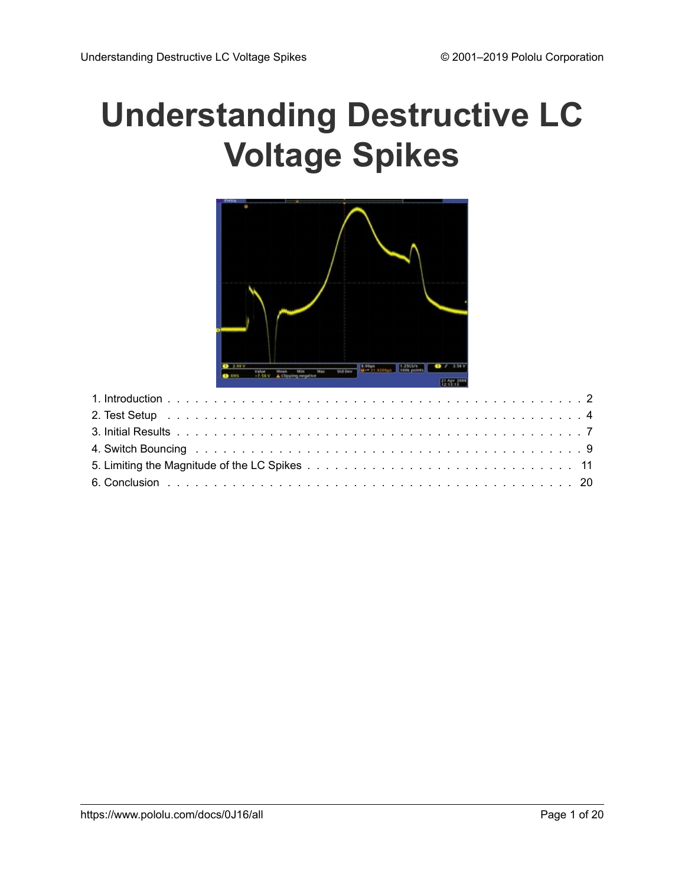# **Understanding Destructive LC Voltage Spikes**

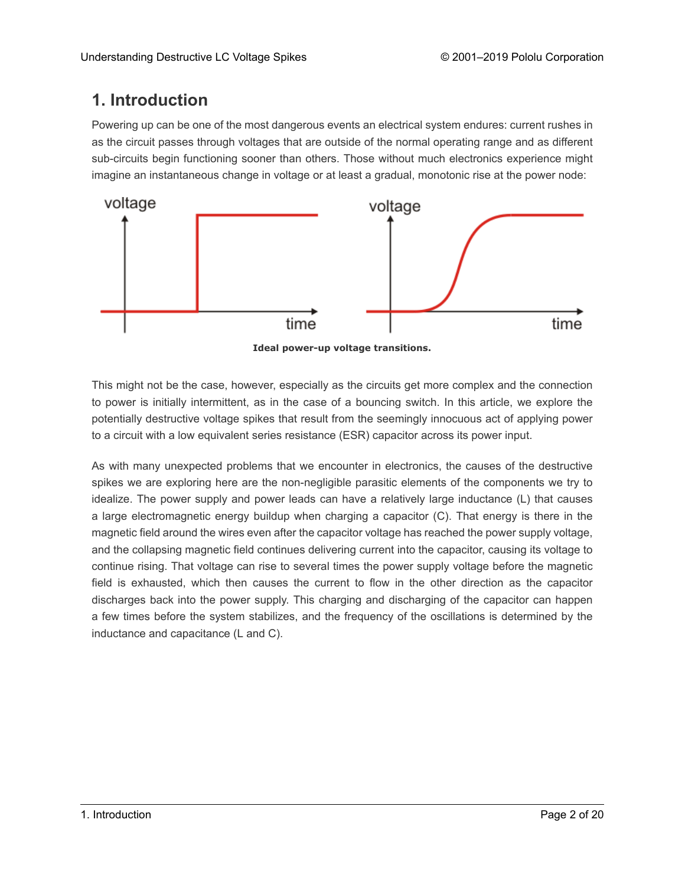# <span id="page-1-0"></span>**1. Introduction**

Powering up can be one of the most dangerous events an electrical system endures: current rushes in as the circuit passes through voltages that are outside of the normal operating range and as different sub-circuits begin functioning sooner than others. Those without much electronics experience might imagine an instantaneous change in voltage or at least a gradual, monotonic rise at the power node:



This might not be the case, however, especially as the circuits get more complex and the connection to power is initially intermittent, as in the case of a bouncing switch. In this article, we explore the potentially destructive voltage spikes that result from the seemingly innocuous act of applying power to a circuit with a low equivalent series resistance (ESR) capacitor across its power input.

As with many unexpected problems that we encounter in electronics, the causes of the destructive spikes we are exploring here are the non-negligible parasitic elements of the components we try to idealize. The power supply and power leads can have a relatively large inductance (L) that causes a large electromagnetic energy buildup when charging a capacitor (C). That energy is there in the magnetic field around the wires even after the capacitor voltage has reached the power supply voltage, and the collapsing magnetic field continues delivering current into the capacitor, causing its voltage to continue rising. That voltage can rise to several times the power supply voltage before the magnetic field is exhausted, which then causes the current to flow in the other direction as the capacitor discharges back into the power supply. This charging and discharging of the capacitor can happen a few times before the system stabilizes, and the frequency of the oscillations is determined by the inductance and capacitance (L and C).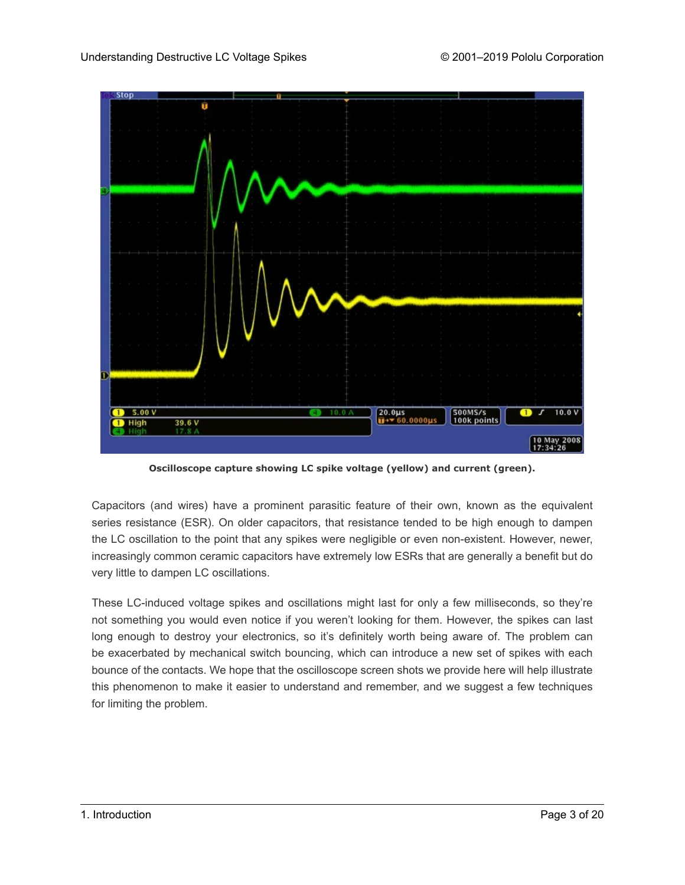

**Oscilloscope capture showing LC spike voltage (yellow) and current (green).**

Capacitors (and wires) have a prominent parasitic feature of their own, known as the equivalent series resistance (ESR). On older capacitors, that resistance tended to be high enough to dampen the LC oscillation to the point that any spikes were negligible or even non-existent. However, newer, increasingly common ceramic capacitors have extremely low ESRs that are generally a benefit but do very little to dampen LC oscillations.

These LC-induced voltage spikes and oscillations might last for only a few milliseconds, so they're not something you would even notice if you weren't looking for them. However, the spikes can last long enough to destroy your electronics, so it's definitely worth being aware of. The problem can be exacerbated by mechanical switch bouncing, which can introduce a new set of spikes with each bounce of the contacts. We hope that the oscilloscope screen shots we provide here will help illustrate this phenomenon to make it easier to understand and remember, and we suggest a few techniques for limiting the problem.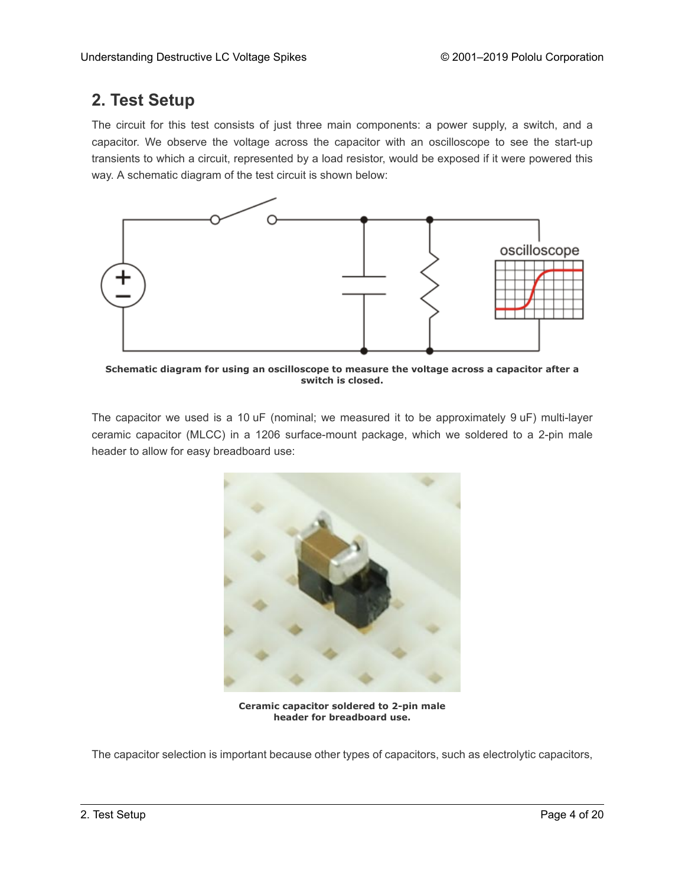### <span id="page-3-0"></span>**2. Test Setup**

The circuit for this test consists of just three main components: a power supply, a switch, and a capacitor. We observe the voltage across the capacitor with an oscilloscope to see the start-up transients to which a circuit, represented by a load resistor, would be exposed if it were powered this way. A schematic diagram of the test circuit is shown below:



**Schematic diagram for using an oscilloscope to measure the voltage across a capacitor after a switch is closed.**

The capacitor we used is a 10 uF (nominal; we measured it to be approximately 9 uF) multi-layer ceramic capacitor (MLCC) in a 1206 surface-mount package, which we soldered to a 2-pin male header to allow for easy breadboard use:



**Ceramic capacitor soldered to 2-pin male header for breadboard use.**

The capacitor selection is important because other types of capacitors, such as electrolytic capacitors,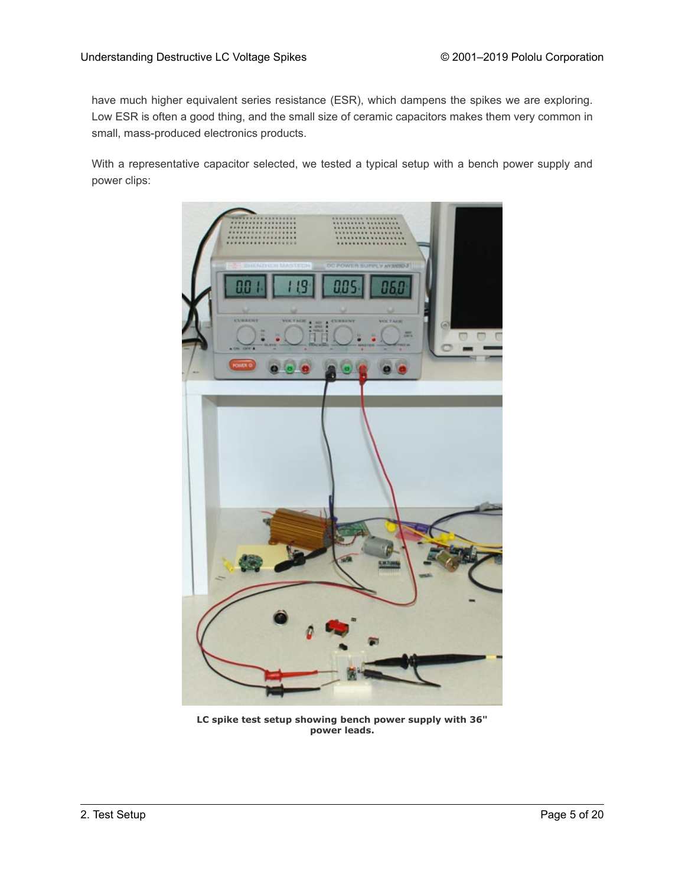have much higher equivalent series resistance (ESR), which dampens the spikes we are exploring. Low ESR is often a good thing, and the small size of ceramic capacitors makes them very common in small, mass-produced electronics products.

With a representative capacitor selected, we tested a typical setup with a bench power supply and power clips:



**LC spike test setup showing bench power supply with 36" power leads.**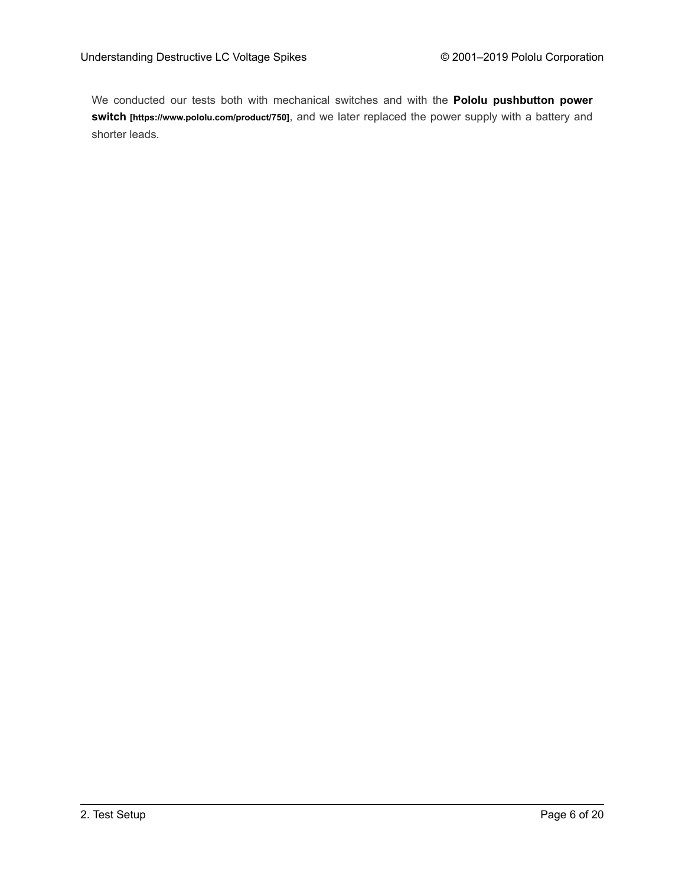We conducted our tests both with mechanical switches and with the **[Pololu pushbutton power](https://www.pololu.com/product/750) switch [\[https://www.pololu.com/product/750\]](https://www.pololu.com/product/750)**, and we later replaced the power supply with a battery and shorter leads.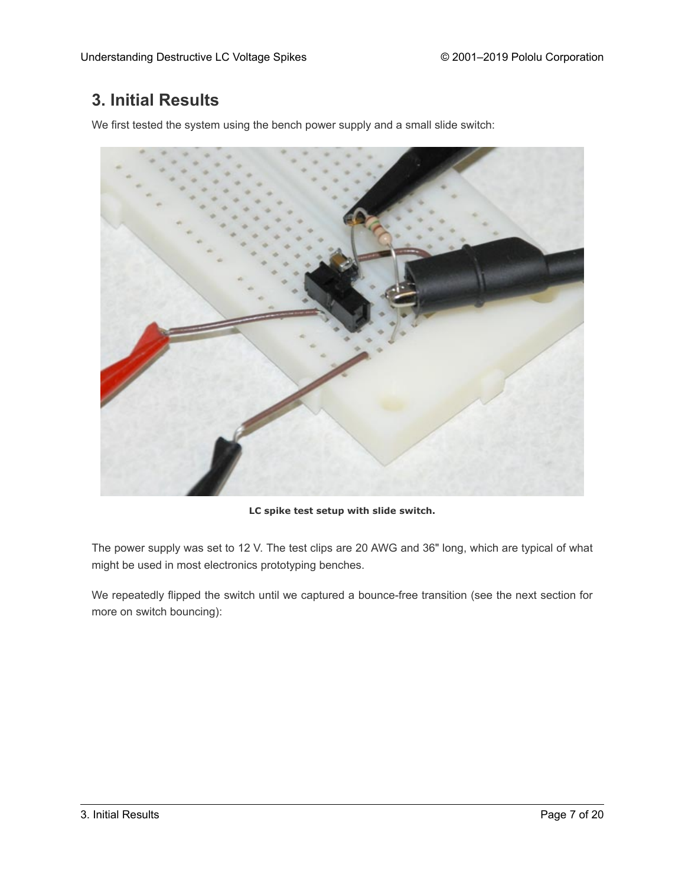## <span id="page-6-0"></span>**3. Initial Results**

We first tested the system using the bench power supply and a small slide switch:



**LC spike test setup with slide switch.**

The power supply was set to 12 V. The test clips are 20 AWG and 36" long, which are typical of what might be used in most electronics prototyping benches.

We repeatedly flipped the switch until we captured a bounce-free transition (see the next section for more on switch bouncing):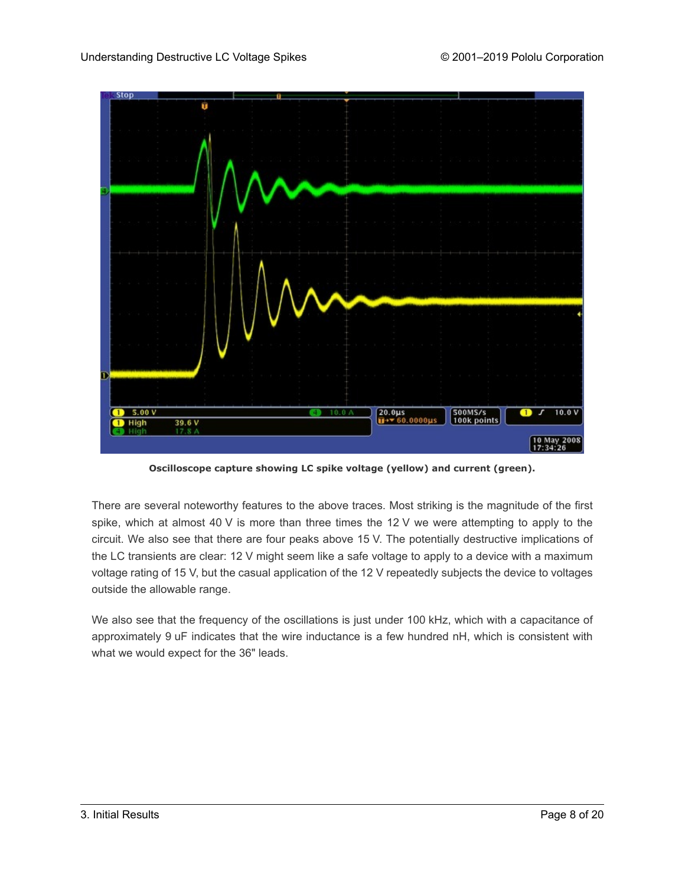

**Oscilloscope capture showing LC spike voltage (yellow) and current (green).**

There are several noteworthy features to the above traces. Most striking is the magnitude of the first spike, which at almost 40 V is more than three times the 12 V we were attempting to apply to the circuit. We also see that there are four peaks above 15 V. The potentially destructive implications of the LC transients are clear: 12 V might seem like a safe voltage to apply to a device with a maximum voltage rating of 15 V, but the casual application of the 12 V repeatedly subjects the device to voltages outside the allowable range.

We also see that the frequency of the oscillations is just under 100 kHz, which with a capacitance of approximately 9 uF indicates that the wire inductance is a few hundred nH, which is consistent with what we would expect for the 36" leads.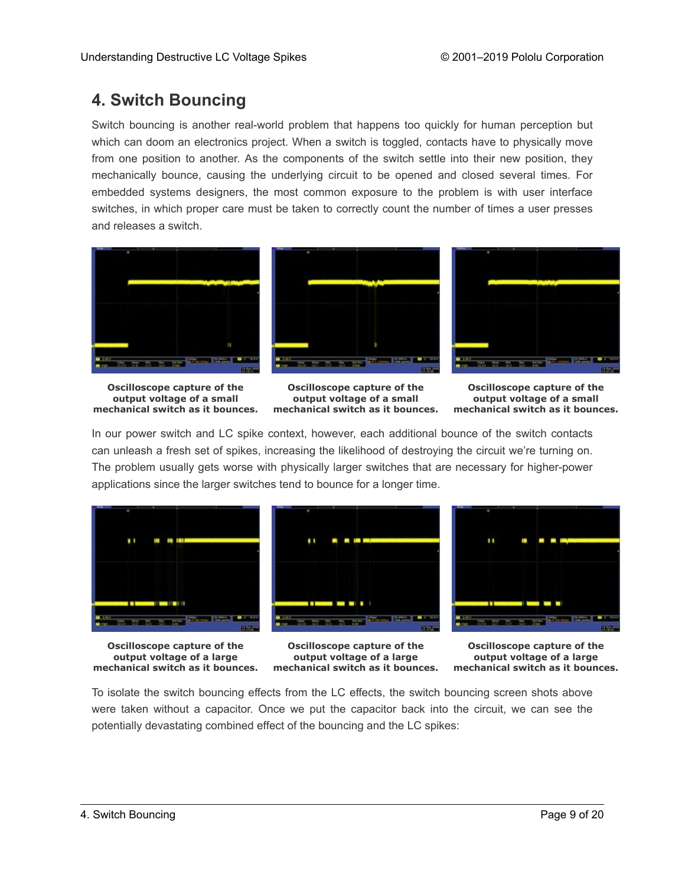## <span id="page-8-0"></span>**4. Switch Bouncing**

Switch bouncing is another real-world problem that happens too quickly for human perception but which can doom an electronics project. When a switch is toggled, contacts have to physically move from one position to another. As the components of the switch settle into their new position, they mechanically bounce, causing the underlying circuit to be opened and closed several times. For embedded systems designers, the most common exposure to the problem is with user interface switches, in which proper care must be taken to correctly count the number of times a user presses and releases a switch.

**Oscilloscope capture of the output voltage of a small mechanical switch as it bounces.**

**Oscilloscope capture of the output voltage of a small mechanical switch as it bounces.**

**Oscilloscope capture of the output voltage of a small mechanical switch as it bounces.**

In our power switch and LC spike context, however, each additional bounce of the switch contacts can unleash a fresh set of spikes, increasing the likelihood of destroying the circuit we're turning on. The problem usually gets worse with physically larger switches that are necessary for higher-power applications since the larger switches tend to bounce for a longer time.



**Oscilloscope capture of the output voltage of a large mechanical switch as it bounces.**

**Oscilloscope capture of the output voltage of a large mechanical switch as it bounces.**

**Oscilloscope capture of the output voltage of a large mechanical switch as it bounces.**

To isolate the switch bouncing effects from the LC effects, the switch bouncing screen shots above were taken without a capacitor. Once we put the capacitor back into the circuit, we can see the potentially devastating combined effect of the bouncing and the LC spikes: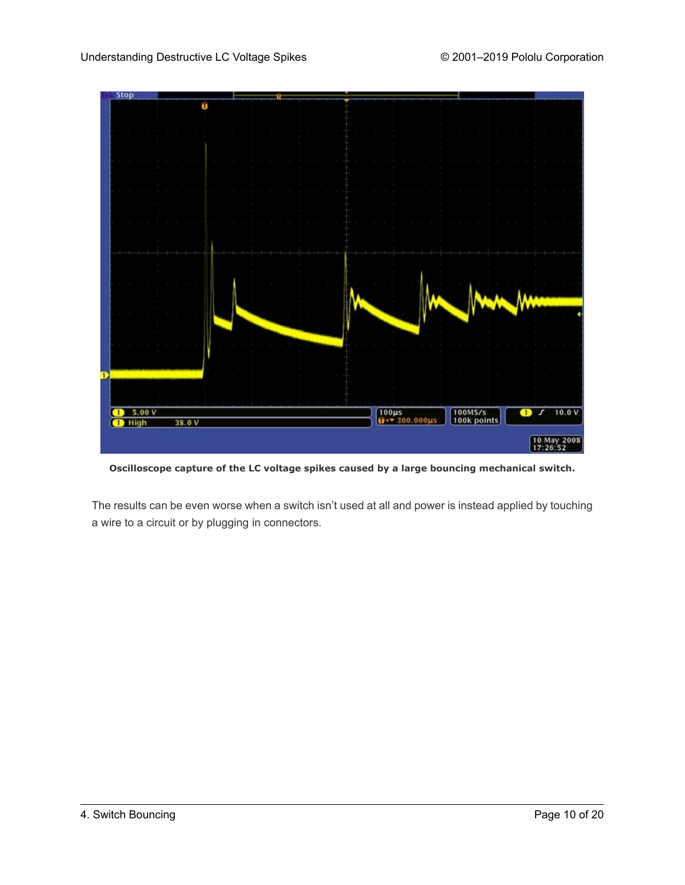

**Oscilloscope capture of the LC voltage spikes caused by a large bouncing mechanical switch.**

The results can be even worse when a switch isn't used at all and power is instead applied by touching a wire to a circuit or by plugging in connectors.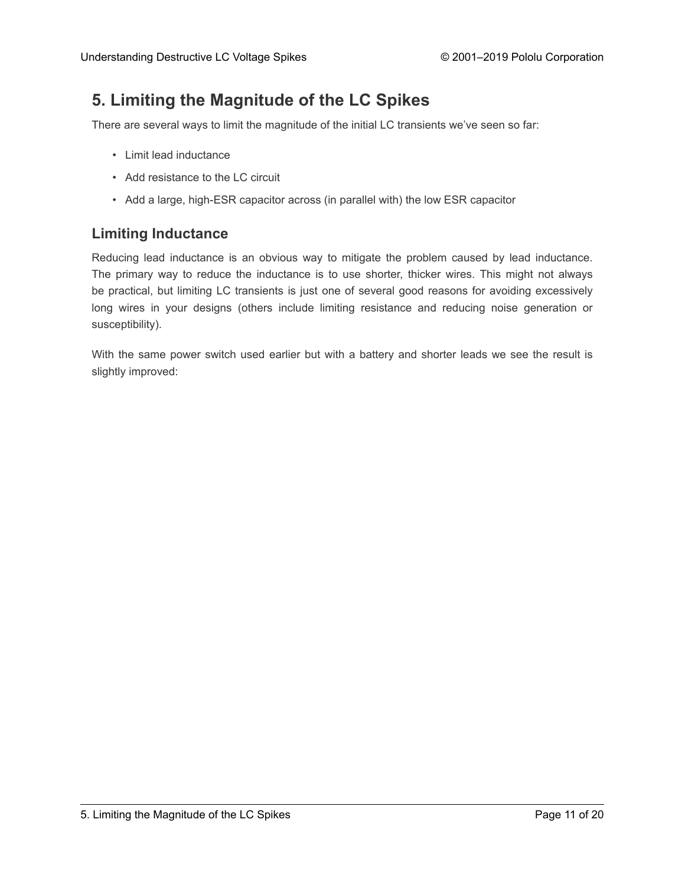#### <span id="page-10-0"></span>**5. Limiting the Magnitude of the LC Spikes**

There are several ways to limit the magnitude of the initial LC transients we've seen so far:

- Limit lead inductance
- Add resistance to the LC circuit
- Add a large, high-ESR capacitor across (in parallel with) the low ESR capacitor

#### **Limiting Inductance**

Reducing lead inductance is an obvious way to mitigate the problem caused by lead inductance. The primary way to reduce the inductance is to use shorter, thicker wires. This might not always be practical, but limiting LC transients is just one of several good reasons for avoiding excessively long wires in your designs (others include limiting resistance and reducing noise generation or susceptibility).

With the same power switch used earlier but with a battery and shorter leads we see the result is slightly improved: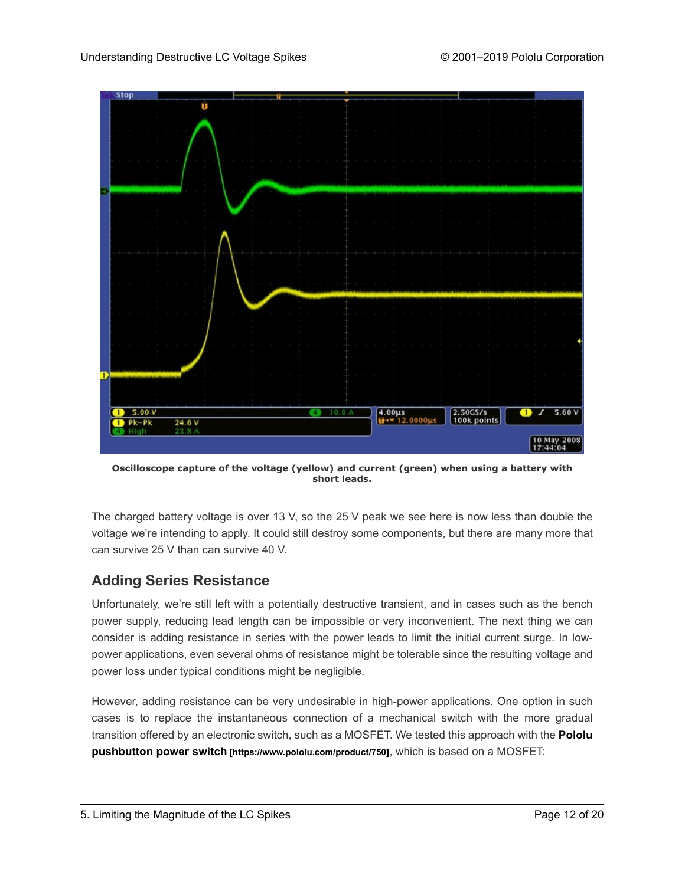

**Oscilloscope capture of the voltage (yellow) and current (green) when using a battery with short leads.**

The charged battery voltage is over 13 V, so the 25 V peak we see here is now less than double the voltage we're intending to apply. It could still destroy some components, but there are many more that can survive 25 V than can survive 40 V.

#### **Adding Series Resistance**

Unfortunately, we're still left with a potentially destructive transient, and in cases such as the bench power supply, reducing lead length can be impossible or very inconvenient. The next thing we can consider is adding resistance in series with the power leads to limit the initial current surge. In lowpower applications, even several ohms of resistance might be tolerable since the resulting voltage and power loss under typical conditions might be negligible.

However, adding resistance can be very undesirable in high-power applications. One option in such cases is to replace the instantaneous connection of a mechanical switch with the more gradual transition offered by an electronic switch, such as a MOSFET. We tested this approach with the **[Pololu](https://www.pololu.com/product/750) [pushbutton power switch](https://www.pololu.com/product/750) [https://www.pololu.com/product/750]**, which is based on a MOSFET: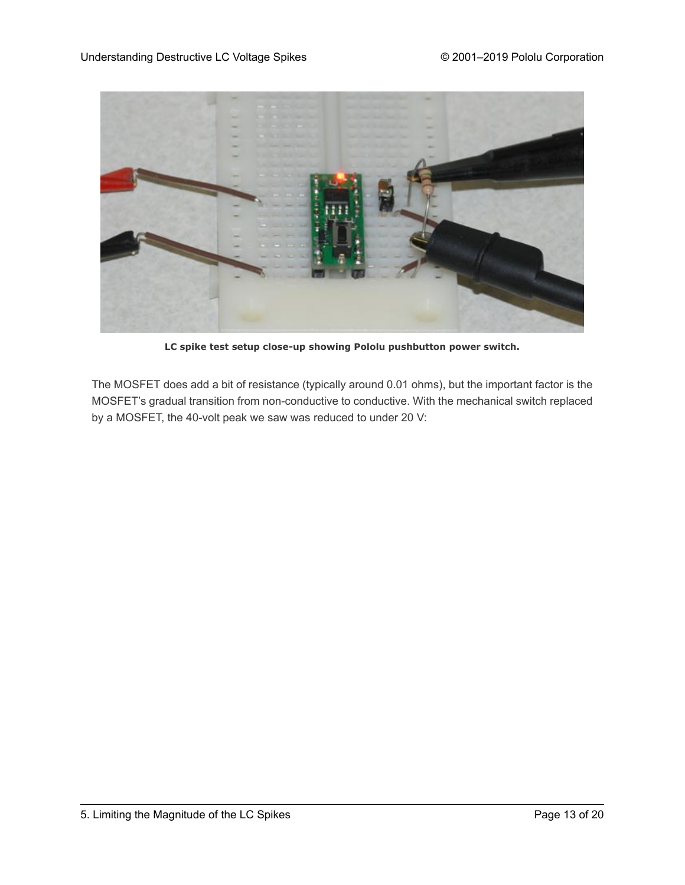

**LC spike test setup close-up showing Pololu pushbutton power switch.**

The MOSFET does add a bit of resistance (typically around 0.01 ohms), but the important factor is the MOSFET's gradual transition from non-conductive to conductive. With the mechanical switch replaced by a MOSFET, the 40-volt peak we saw was reduced to under 20 V: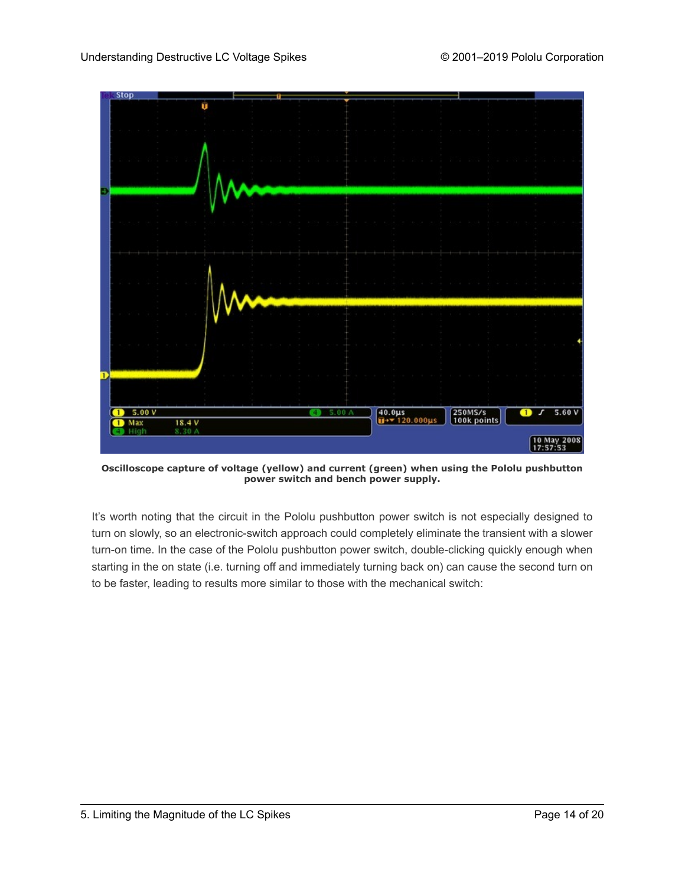

**Oscilloscope capture of voltage (yellow) and current (green) when using the Pololu pushbutton power switch and bench power supply.**

It's worth noting that the circuit in the Pololu pushbutton power switch is not especially designed to turn on slowly, so an electronic-switch approach could completely eliminate the transient with a slower turn-on time. In the case of the Pololu pushbutton power switch, double-clicking quickly enough when starting in the on state (i.e. turning off and immediately turning back on) can cause the second turn on to be faster, leading to results more similar to those with the mechanical switch: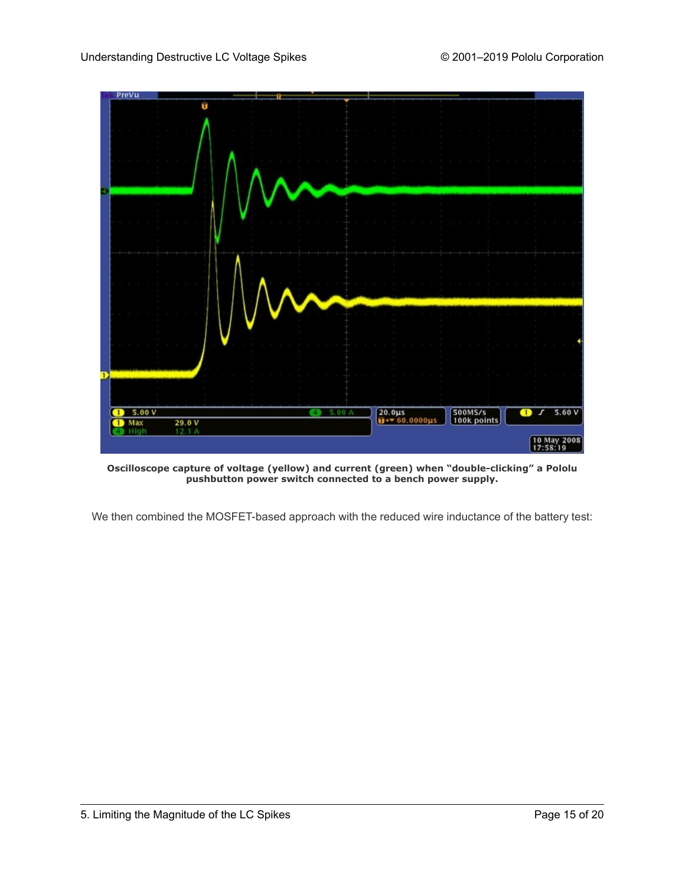

**Oscilloscope capture of voltage (yellow) and current (green) when "double-clicking" a Pololu pushbutton power switch connected to a bench power supply.**

We then combined the MOSFET-based approach with the reduced wire inductance of the battery test: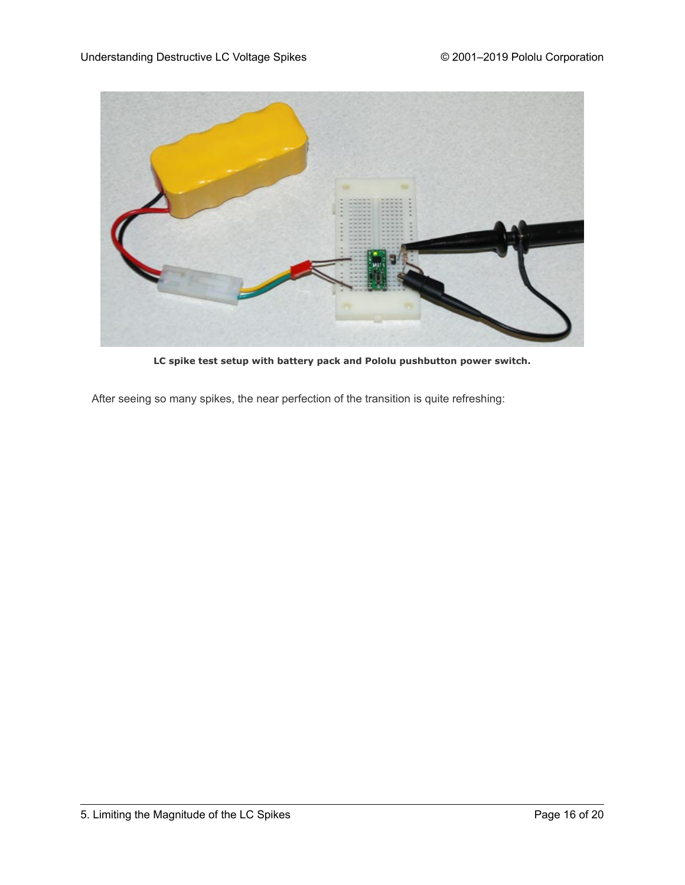

**LC spike test setup with battery pack and Pololu pushbutton power switch.**

After seeing so many spikes, the near perfection of the transition is quite refreshing: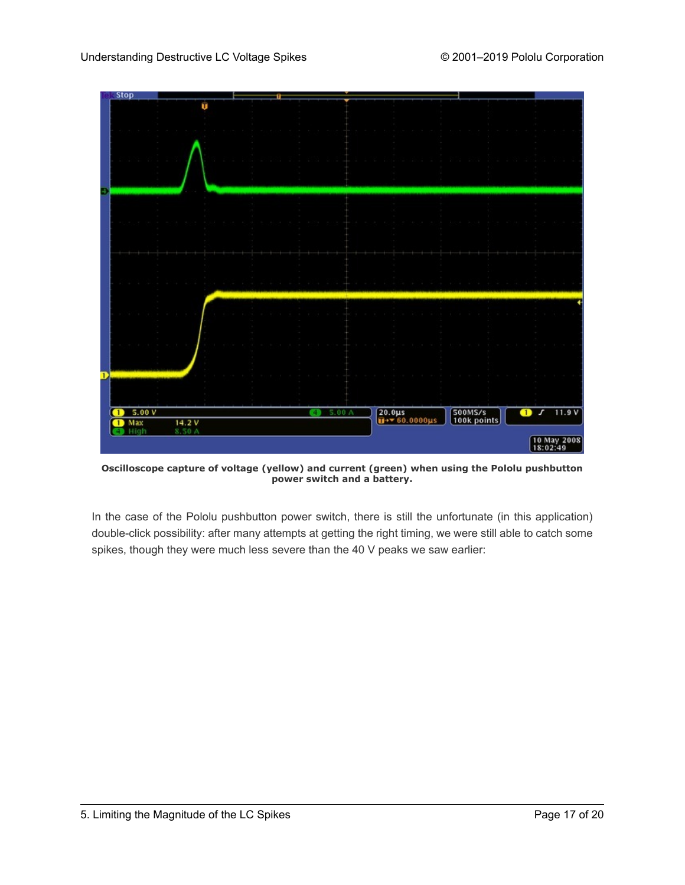

**Oscilloscope capture of voltage (yellow) and current (green) when using the Pololu pushbutton power switch and a battery.**

In the case of the Pololu pushbutton power switch, there is still the unfortunate (in this application) double-click possibility: after many attempts at getting the right timing, we were still able to catch some spikes, though they were much less severe than the 40 V peaks we saw earlier: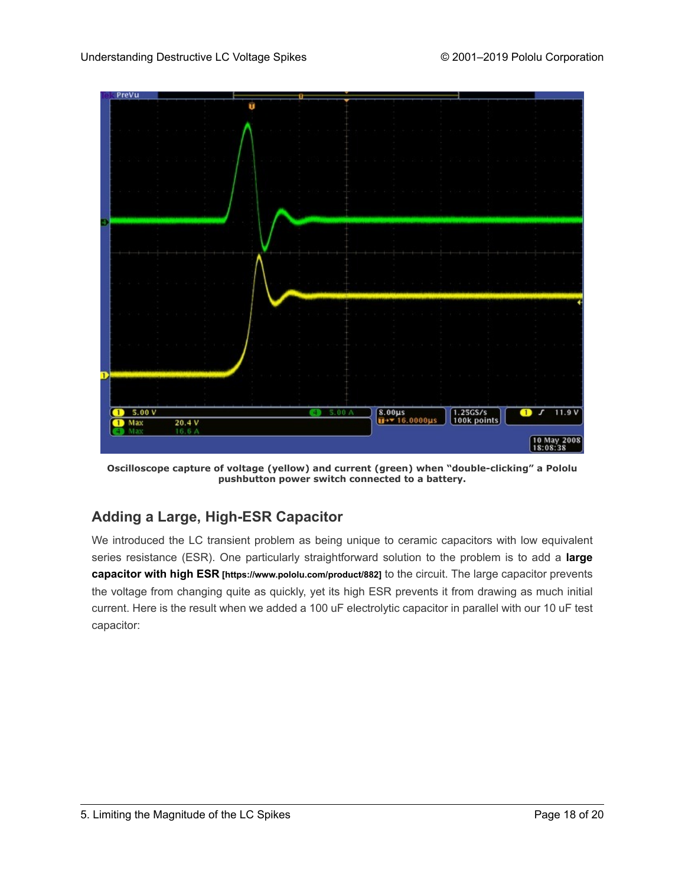

**Oscilloscope capture of voltage (yellow) and current (green) when "double-clicking" a Pololu pushbutton power switch connected to a battery.**

#### **Adding a Large, High-ESR Capacitor**

We introduced the LC transient problem as being unique to ceramic capacitors with low equivalent series resistance (ESR). One particularly straightforward solution to the problem is to add a **[large](https://www.pololu.com/product/882) capacitor with high ESR [\[https://www.pololu.com/product/882\]](https://www.pololu.com/product/882)** to the circuit. The large capacitor prevents the voltage from changing quite as quickly, yet its high ESR prevents it from drawing as much initial current. Here is the result when we added a 100 uF electrolytic capacitor in parallel with our 10 uF test capacitor: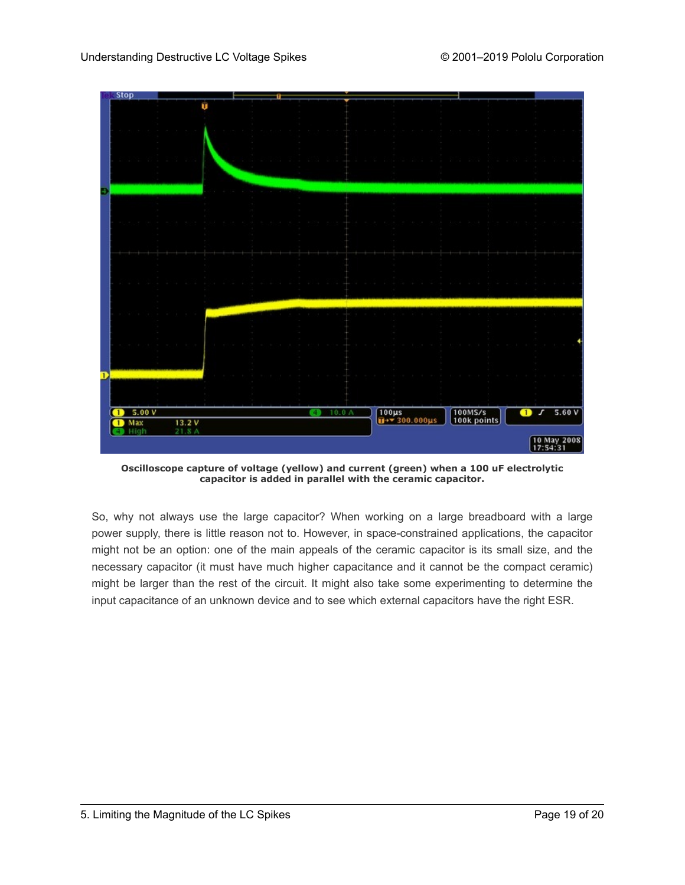

**Oscilloscope capture of voltage (yellow) and current (green) when a 100 uF electrolytic capacitor is added in parallel with the ceramic capacitor.**

So, why not always use the large capacitor? When working on a large breadboard with a large power supply, there is little reason not to. However, in space-constrained applications, the capacitor might not be an option: one of the main appeals of the ceramic capacitor is its small size, and the necessary capacitor (it must have much higher capacitance and it cannot be the compact ceramic) might be larger than the rest of the circuit. It might also take some experimenting to determine the input capacitance of an unknown device and to see which external capacitors have the right ESR.